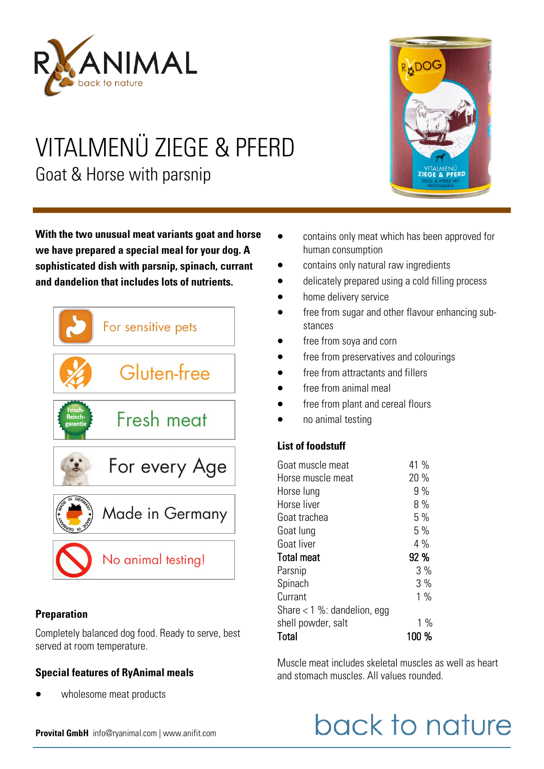

# VITALMENÜ ZIEGE & PFERD Goat & Horse with parsnip

**With the two unusual meat variants goat and horse we have prepared a special meal for your dog. A sophisticated dish with parsnip, spinach, currant and dandelion that includes lots of nutrients.** 



#### **Preparation**

Completely balanced dog food. Ready to serve, best served at room temperature.

## **Special features of RyAnimal meals**

wholesome meat products



- contains only meat which has been approved for human consumption
- contains only natural raw ingredients
- delicately prepared using a cold filling process
- home delivery service
- free from sugar and other flavour enhancing substances
- free from soya and corn
- free from preservatives and colourings
- free from attractants and fillers
- free from animal meal
- free from plant and cereal flours
- no animal testing

## **List of foodstuff**

| Horse muscle meat<br>Horse lung<br>Horse liver<br>Goat trachea<br>Goat lung<br>Goat liver<br>Total meat<br>Parsnip<br>Spinach<br>Currant<br>Share $<$ 1 %: dandelion, egg<br>shell powder, salt<br>Total | Goat muscle meat | 41 %  |
|----------------------------------------------------------------------------------------------------------------------------------------------------------------------------------------------------------|------------------|-------|
|                                                                                                                                                                                                          |                  | 20 %  |
|                                                                                                                                                                                                          |                  | 9%    |
|                                                                                                                                                                                                          |                  | 8%    |
|                                                                                                                                                                                                          |                  | 5%    |
|                                                                                                                                                                                                          |                  | 5%    |
|                                                                                                                                                                                                          |                  | $4\%$ |
|                                                                                                                                                                                                          |                  | 92 %  |
|                                                                                                                                                                                                          |                  | 3%    |
|                                                                                                                                                                                                          |                  | 3%    |
|                                                                                                                                                                                                          |                  | $1\%$ |
|                                                                                                                                                                                                          |                  |       |
|                                                                                                                                                                                                          |                  | $1\%$ |
|                                                                                                                                                                                                          |                  | 100 % |

Muscle meat includes skeletal muscles as well as heart and stomach muscles. All values rounded.

# back to nature

**Provital GmbH** info@ryanimal.com | www.anifit.com